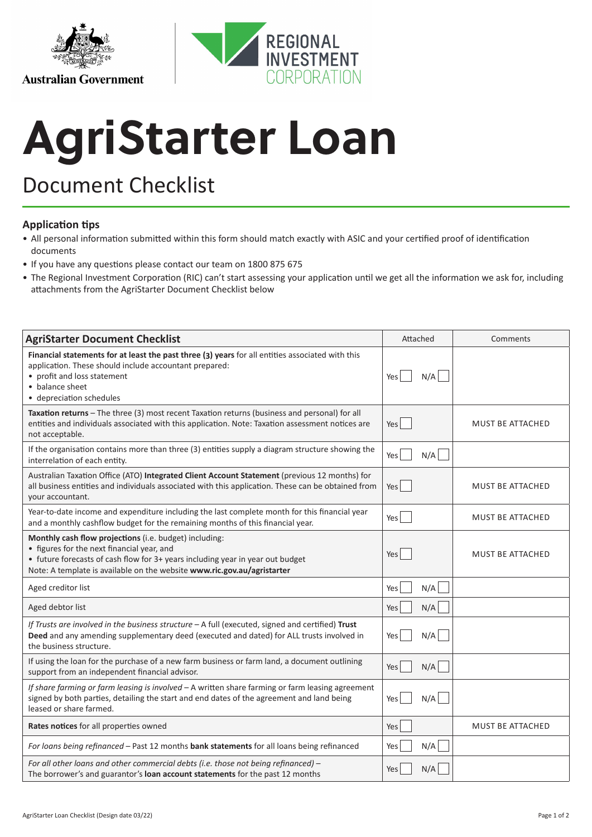

## **AgriStarter Loan**

## Document Checklist

## **Application tips**

- All personal information submitted within this form should match exactly with ASIC and your certified proof of identification documents
- If you have any questions please contact our team on 1800 875 675
- The Regional Investment Corporation (RIC) can't start assessing your application until we get all the information we ask for, including attachments from the AgriStarter Document Checklist below

| <b>AgriStarter Document Checklist</b>                                                                                                                                                                                                                             | Attached          | Comments                |
|-------------------------------------------------------------------------------------------------------------------------------------------------------------------------------------------------------------------------------------------------------------------|-------------------|-------------------------|
| Financial statements for at least the past three (3) years for all entities associated with this<br>application. These should include accountant prepared:<br>• profit and loss statement<br>• balance sheet<br>• depreciation schedules                          | N/A<br>Yes        |                         |
| Taxation returns - The three (3) most recent Taxation returns (business and personal) for all<br>entities and individuals associated with this application. Note: Taxation assessment notices are<br>not acceptable.                                              | Yes               | <b>MUST BE ATTACHED</b> |
| If the organisation contains more than three (3) entities supply a diagram structure showing the<br>interrelation of each entity.                                                                                                                                 | N/A<br>Yes        |                         |
| Australian Taxation Office (ATO) Integrated Client Account Statement (previous 12 months) for<br>all business entities and individuals associated with this application. These can be obtained from<br>your accountant.                                           | Yes               | MUST BE ATTACHED        |
| Year-to-date income and expenditure including the last complete month for this financial year<br>and a monthly cashflow budget for the remaining months of this financial year.                                                                                   | Yes               | MUST BE ATTACHED        |
| Monthly cash flow projections (i.e. budget) including:<br>• figures for the next financial year, and<br>• future forecasts of cash flow for 3+ years including year in year out budget<br>Note: A template is available on the website www.ric.gov.au/agristarter | Yes               | MUST BE ATTACHED        |
| Aged creditor list                                                                                                                                                                                                                                                | N/A<br>Yes        |                         |
| Aged debtor list                                                                                                                                                                                                                                                  | N/A<br>Yes        |                         |
| If Trusts are involved in the business structure - A full (executed, signed and certified) Trust<br>Deed and any amending supplementary deed (executed and dated) for ALL trusts involved in<br>the business structure.                                           | N/A<br>Yes        |                         |
| If using the loan for the purchase of a new farm business or farm land, a document outlining<br>support from an independent financial advisor.                                                                                                                    | N/A<br>Yes        |                         |
| If share farming or farm leasing is involved - A written share farming or farm leasing agreement<br>signed by both parties, detailing the start and end dates of the agreement and land being<br>leased or share farmed.                                          | N/A<br>Yes        |                         |
| Rates notices for all properties owned                                                                                                                                                                                                                            | Yes               | <b>MUST BE ATTACHED</b> |
| For loans being refinanced - Past 12 months bank statements for all loans being refinanced                                                                                                                                                                        | N/A<br>Yes        |                         |
| For all other loans and other commercial debts (i.e. those not being refinanced) -<br>The borrower's and guarantor's loan account statements for the past 12 months                                                                                               | N/A<br><b>Yes</b> |                         |